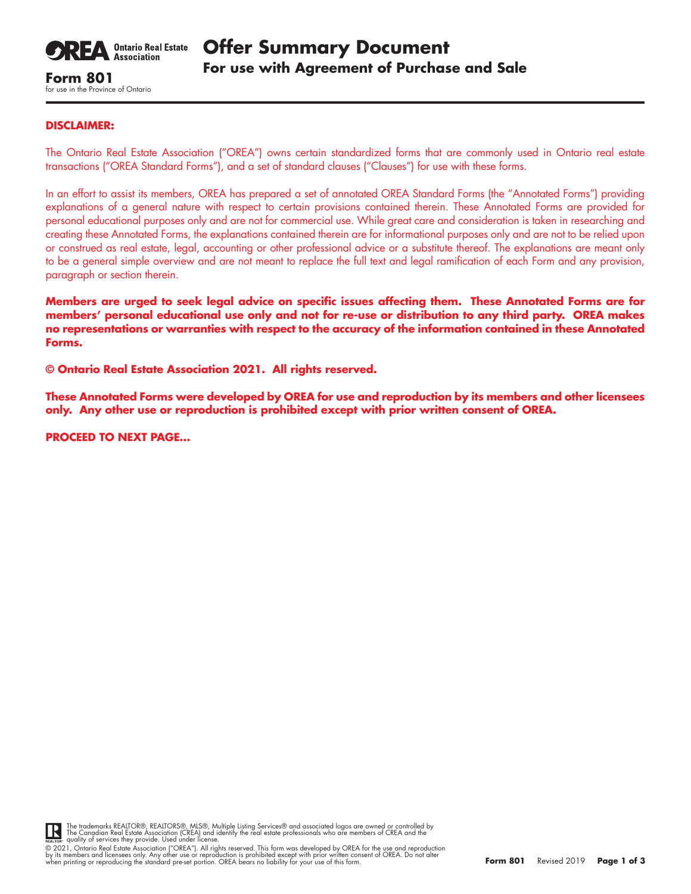

for use in the Province of Ontario

## **DISCLAIMER:**

The Ontario Real Estate Association ("OREA") owns certain standardized forms that are commonly used in Ontario real estate transactions ("OREA Standard Forms"), and a set of standard clauses ("Clauses") for use with these forms.

In an effort to assist its members, OREA has prepared a set of annotated OREA Standard Forms (the "Annotated Forms") providing explanations of a general nature with respect to certain provisions contained therein. These Annotated Forms are provided for personal educational purposes only and are not for commercial use. While great care and consideration is taken in researching and creating these Annotated Forms, the explanations contained therein are for informational purposes only and are not to be relied upon or construed as real estate, legal, accounting or other professional advice or a substitute thereof. The explanations are meant only to be a general simple overview and are not meant to replace the full text and legal ramification of each Form and any provision, paragraph or section therein.

**Members are urged to seek legal advice on specific issues affecting them. These Annotated Forms are for members' personal educational use only and not for re-use or distribution to any third party. OREA makes no representations or warranties with respect to the accuracy of the information contained in these Annotated Forms.**

**© Ontario Real Estate Association 2021. All rights reserved.** 

**These Annotated Forms were developed by OREA for use and reproduction by its members and other licensees only. Any other use or reproduction is prohibited except with prior written consent of OREA.**

**PROCEED TO NEXT PAGE…**



The trademarks REALTOR®, REALTORS®, MLS®, Multiple Listing Services® and associated logos are owned or controlled by<br>The Canadian Real Estate Association (CREA) and identify the real estate professionals who are members of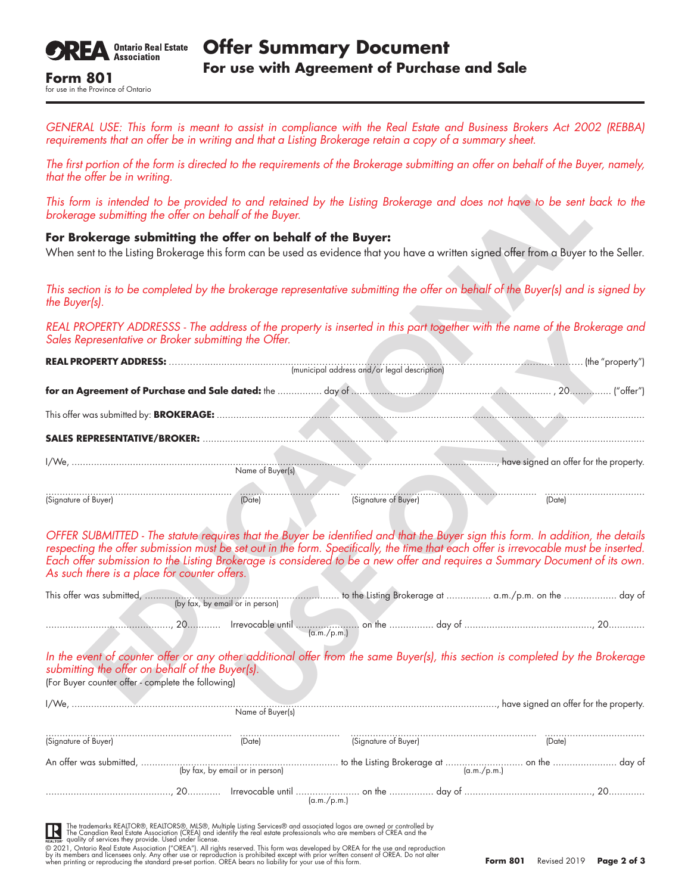

for use in the Province of Ontario

*GENERAL USE: This form is meant to assist in compliance with the Real Estate and Business Brokers Act 2002 (REBBA) requirements that an offer be in writing and that a Listing Brokerage retain a copy of a summary sheet.*

*The first portion of the form is directed to the requirements of the Brokerage submitting an offer on behalf of the Buyer, namely, that the offer be in writing.*

## **For Brokerage submitting the offer on behalf of the Buyer:**

| $max$ $max$ $sum$ $sum$ $sum$ $sum$ $sum$ $sum$ $sum$                                                                                                                                                                                                                                                                                                                                                                |
|----------------------------------------------------------------------------------------------------------------------------------------------------------------------------------------------------------------------------------------------------------------------------------------------------------------------------------------------------------------------------------------------------------------------|
| This form is intended to be provided to and retained by the Listing Brokerage and does not have to be sent back to the<br>brokerage submitting the offer on behalf of the Buyer.                                                                                                                                                                                                                                     |
| For Brokerage submitting the offer on behalf of the Buyer:<br>When sent to the Listing Brokerage this form can be used as evidence that you have a written signed offer from a Buyer to the Seller.                                                                                                                                                                                                                  |
| This section is to be completed by the brokerage representative submitting the offer on behalf of the Buyer(s) and is signed by<br>the Buyer(s).                                                                                                                                                                                                                                                                     |
| REAL PROPERTY ADDRESSS - The address of the property is inserted in this part together with the name of the Brokerage and<br>Sales Representative or Broker submitting the Offer.                                                                                                                                                                                                                                    |
|                                                                                                                                                                                                                                                                                                                                                                                                                      |
|                                                                                                                                                                                                                                                                                                                                                                                                                      |
|                                                                                                                                                                                                                                                                                                                                                                                                                      |
|                                                                                                                                                                                                                                                                                                                                                                                                                      |
|                                                                                                                                                                                                                                                                                                                                                                                                                      |
| (Date)                                                                                                                                                                                                                                                                                                                                                                                                               |
| OFFER SUBMITTED - The statute requires that the Buyer be identified and that the Buyer sign this form. In addition, the details<br>respecting the offer submission must be set out in the form. Specifically, the time that each offer is irrevocable must be inserted.<br>Each offer submission to the Listing Brokerage is considered to be a new offer and requir<br>As such there is a place for counter offers. |
|                                                                                                                                                                                                                                                                                                                                                                                                                      |
|                                                                                                                                                                                                                                                                                                                                                                                                                      |
| In the event of counter offer or any other additional offer from the same Buyer(s), this section is completed by the Brokerage<br>submitting the offer on behalf of the Buyer(s).<br>(For Buyer counter offer - complete the following)                                                                                                                                                                              |
|                                                                                                                                                                                                                                                                                                                                                                                                                      |

|                                                                                                       | (by fax, by email or in person) |                      |                                                                                                                                |
|-------------------------------------------------------------------------------------------------------|---------------------------------|----------------------|--------------------------------------------------------------------------------------------------------------------------------|
|                                                                                                       |                                 | (a.m./p.m.)          |                                                                                                                                |
| submitting the offer on behalf of the Buyer(s).<br>(For Buyer counter offer - complete the following) |                                 |                      | In the event of counter offer or any other additional offer from the same Buyer(s), this section is completed by the Brokerage |
|                                                                                                       | Name of Buyer(s)                |                      |                                                                                                                                |
| (Signature of Buyer)                                                                                  | (Date)                          | (Signature of Buyer) | (Date)                                                                                                                         |
|                                                                                                       |                                 |                      |                                                                                                                                |
|                                                                                                       |                                 | (a.m./p.m.)          |                                                                                                                                |

The trademarks REALTOR®, REALTORS®, MLS®, Multiple Listing Services® and associated logos are owned or controlled by<br>The Canadian Real Estate Association (CREA) and identify the real estate professionals who are members of IK

© 2021, Ontario Real Estate Association ("OREA"). All rights reserved. This form was developed by OREA for the use and reproduction<br>by its members and licensees only. Any other use or reproduction is prohibited except with